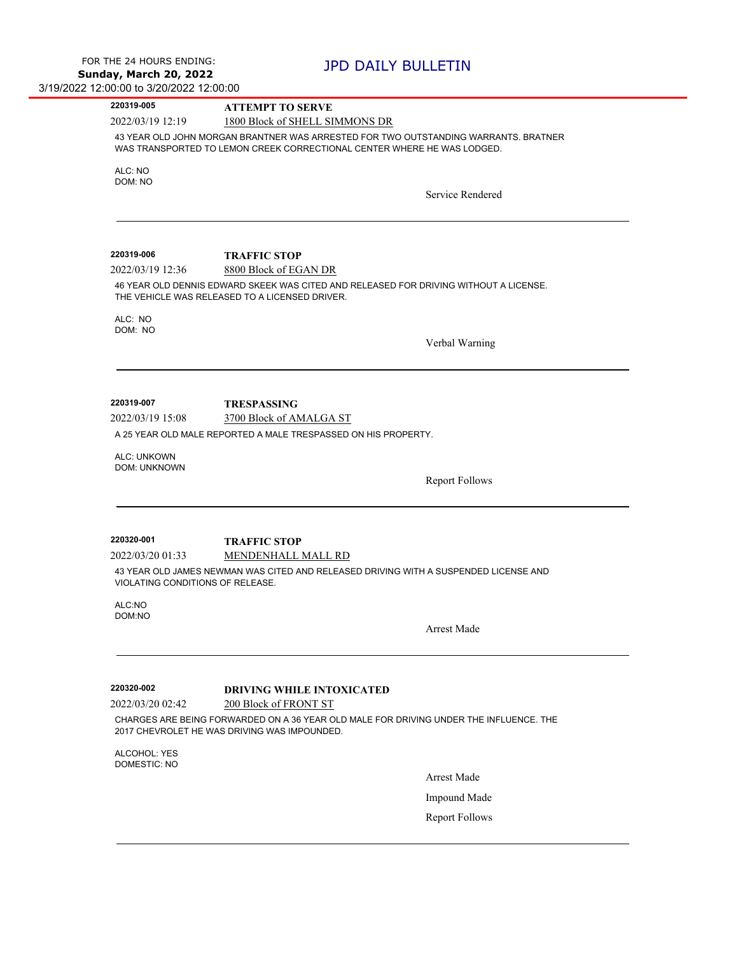| 2022/03/19 12:19<br>ALC: NO<br>DOM: NO<br>220319-006<br>2022/03/19 12:36<br>ALC: NO<br>DOM: NO | 1800 Block of SHELL SIMMONS DR<br>43 YEAR OLD JOHN MORGAN BRANTNER WAS ARRESTED FOR TWO OUTSTANDING WARRANTS. BRATNER<br>WAS TRANSPORTED TO LEMON CREEK CORRECTIONAL CENTER WHERE HE WAS LODGED.<br>Service Rendered<br><b>TRAFFIC STOP</b><br>8800 Block of EGAN DR<br>46 YEAR OLD DENNIS EDWARD SKEEK WAS CITED AND RELEASED FOR DRIVING WITHOUT A LICENSE.<br>THE VEHICLE WAS RELEASED TO A LICENSED DRIVER.<br>Verbal Warning |
|------------------------------------------------------------------------------------------------|-----------------------------------------------------------------------------------------------------------------------------------------------------------------------------------------------------------------------------------------------------------------------------------------------------------------------------------------------------------------------------------------------------------------------------------|
|                                                                                                |                                                                                                                                                                                                                                                                                                                                                                                                                                   |
|                                                                                                |                                                                                                                                                                                                                                                                                                                                                                                                                                   |
|                                                                                                |                                                                                                                                                                                                                                                                                                                                                                                                                                   |
|                                                                                                |                                                                                                                                                                                                                                                                                                                                                                                                                                   |
|                                                                                                |                                                                                                                                                                                                                                                                                                                                                                                                                                   |
|                                                                                                |                                                                                                                                                                                                                                                                                                                                                                                                                                   |
|                                                                                                |                                                                                                                                                                                                                                                                                                                                                                                                                                   |
|                                                                                                |                                                                                                                                                                                                                                                                                                                                                                                                                                   |
|                                                                                                |                                                                                                                                                                                                                                                                                                                                                                                                                                   |
|                                                                                                |                                                                                                                                                                                                                                                                                                                                                                                                                                   |
| 220319-007                                                                                     | <b>TRESPASSING</b>                                                                                                                                                                                                                                                                                                                                                                                                                |
| 2022/03/19 15:08                                                                               | 3700 Block of AMALGA ST                                                                                                                                                                                                                                                                                                                                                                                                           |
|                                                                                                | A 25 YEAR OLD MALE REPORTED A MALE TRESPASSED ON HIS PROPERTY.                                                                                                                                                                                                                                                                                                                                                                    |
| <b>ALC: UNKOWN</b><br><b>DOM: UNKNOWN</b>                                                      |                                                                                                                                                                                                                                                                                                                                                                                                                                   |
|                                                                                                | <b>Report Follows</b>                                                                                                                                                                                                                                                                                                                                                                                                             |
| 220320-001                                                                                     | <b>TRAFFIC STOP</b>                                                                                                                                                                                                                                                                                                                                                                                                               |
| 2022/03/20 01:33                                                                               | MENDENHALL MALL RD                                                                                                                                                                                                                                                                                                                                                                                                                |
| VIOLATING CONDITIONS OF RELEASE.                                                               | 43 YEAR OLD JAMES NEWMAN WAS CITED AND RELEASED DRIVING WITH A SUSPENDED LICENSE AND                                                                                                                                                                                                                                                                                                                                              |
| ALC:NO<br>DOM:NO                                                                               |                                                                                                                                                                                                                                                                                                                                                                                                                                   |
|                                                                                                | Arrest Made                                                                                                                                                                                                                                                                                                                                                                                                                       |
| 220320-002                                                                                     | <b>DRIVING WHILE INTOXICATED</b>                                                                                                                                                                                                                                                                                                                                                                                                  |
| 2022/03/20 02:42                                                                               | 200 Block of FRONT ST                                                                                                                                                                                                                                                                                                                                                                                                             |
|                                                                                                | CHARGES ARE BEING FORWARDED ON A 36 YEAR OLD MALE FOR DRIVING UNDER THE INFLUENCE. THE<br>2017 CHEVROLET HE WAS DRIVING WAS IMPOUNDED.                                                                                                                                                                                                                                                                                            |
| ALCOHOL: YES<br><b>DOMESTIC: NO</b>                                                            |                                                                                                                                                                                                                                                                                                                                                                                                                                   |
|                                                                                                | <b>Arrest Made</b>                                                                                                                                                                                                                                                                                                                                                                                                                |
|                                                                                                | Impound Made                                                                                                                                                                                                                                                                                                                                                                                                                      |
|                                                                                                | <b>Report Follows</b>                                                                                                                                                                                                                                                                                                                                                                                                             |